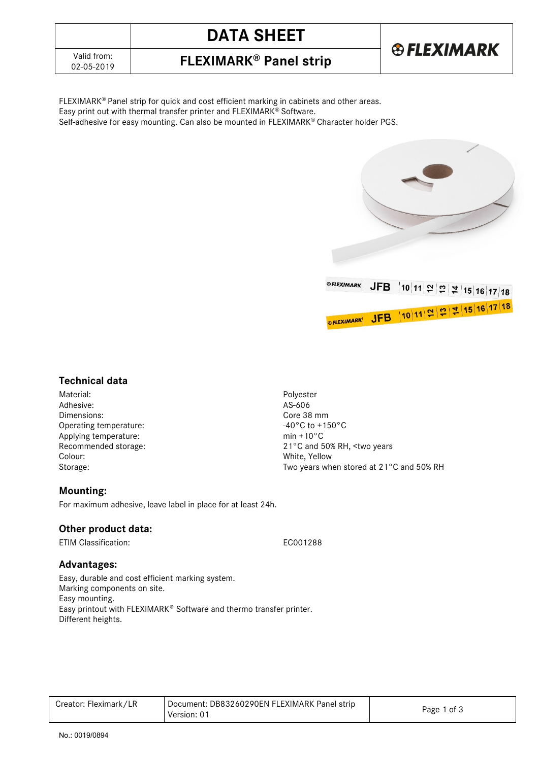# **DATA SHEET**



## 02-05-2019 **FLEXIMARK® Panel strip**

FLEXIMARK® Panel strip for quick and cost efficient marking in cabinets and other areas. Easy print out with thermal transfer printer and FLEXIMARK® Software. Self-adhesive for easy mounting. Can also be mounted in FLEXIMARK® Character holder PGS.



### **Technical data**

Material: Polyester<br>Adhesive: 2008 - 2012 - 2022 - 2023 - 2024 - 2022 - 2023 - 2024 - 2022 - 2023 - 2024 - 2022 - 2022 - 2022 - 20<br>AS-606 Adhesive: Dimensions: Core 38 mm<br>
Operating temperature: Core 38 mm<br>
Operating temperature: Core 38 mm Operating temperature: Applying temperature: min +10°C Colour: White, Yellow

Recommended storage: 21°C and 50% RH, <two years Storage: Two years when stored at 21<sup>°</sup>C and 50% RH

### **Mounting:**

For maximum adhesive, leave label in place for at least 24h.

### **Other product data:**

ETIM Classification: ECO01288

### **Advantages:**

Easy, durable and cost efficient marking system. Marking components on site. Easy mounting. Easy printout with FLEXIMARK® Software and thermo transfer printer. Different heights.

| Creator: Fleximark/LR | Document: DB83260290EN FLEXIMARK Panel strip<br>Version: 01 | Page 1 of 3 |
|-----------------------|-------------------------------------------------------------|-------------|
|-----------------------|-------------------------------------------------------------|-------------|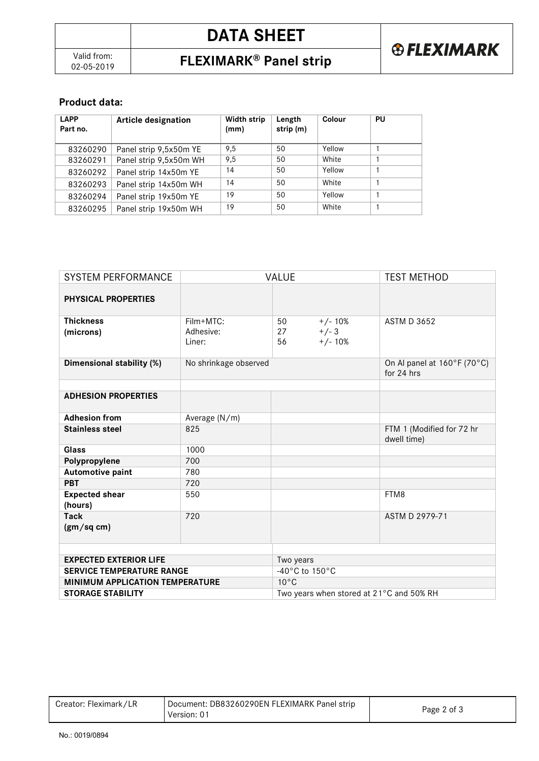### **Product data:**

| <b>LAPP</b><br>Part no. | <b>Article designation</b> | <b>Width strip</b><br>(mm) | Length<br>strip (m) | Colour | PU |
|-------------------------|----------------------------|----------------------------|---------------------|--------|----|
| 83260290                | Panel strip 9,5x50m YE     | 9,5                        | 50                  | Yellow |    |
| 83260291                | Panel strip 9,5x50m WH     | 9,5                        | 50                  | White  |    |
| 83260292                | Panel strip 14x50m YE      | 14                         | 50                  | Yellow |    |
| 83260293                | Panel strip 14x50m WH      | 14                         | 50                  | White  |    |
| 83260294                | Panel strip 19x50m YE      | 19                         | 50                  | Yellow |    |
| 83260295                | Panel strip 19x50m WH      | 19                         | 50                  | White  |    |

| <b>SYSTEM PERFORMANCE</b>              | VALUE                 |                                          | <b>TEST METHOD</b> |                                           |
|----------------------------------------|-----------------------|------------------------------------------|--------------------|-------------------------------------------|
| PHYSICAL PROPERTIES                    |                       |                                          |                    |                                           |
| <b>Thickness</b>                       | Film+MTC:             | 50                                       | $+/- 10%$          | <b>ASTM D 3652</b>                        |
| (microns)                              | Adhesive:             | 27                                       | $+/-3$             |                                           |
|                                        | Liner:                | 56                                       | $+/- 10%$          |                                           |
| Dimensional stability (%)              | No shrinkage observed |                                          |                    | On Al panel at 160°F (70°C)<br>for 24 hrs |
|                                        |                       |                                          |                    |                                           |
| <b>ADHESION PROPERTIES</b>             |                       |                                          |                    |                                           |
| <b>Adhesion from</b>                   | Average (N/m)         |                                          |                    |                                           |
| <b>Stainless steel</b>                 | 825                   |                                          |                    | FTM 1 (Modified for 72 hr<br>dwell time)  |
| Glass                                  | 1000                  |                                          |                    |                                           |
| Polypropylene                          | 700                   |                                          |                    |                                           |
| Automotive paint                       | 780                   |                                          |                    |                                           |
| <b>PBT</b>                             | 720                   |                                          |                    |                                           |
| <b>Expected shear</b>                  | 550                   |                                          |                    | FTM8                                      |
| (hours)                                |                       |                                          |                    |                                           |
| <b>Tack</b>                            | 720                   |                                          |                    | ASTM D 2979-71                            |
| (gm/sq cm)                             |                       |                                          |                    |                                           |
|                                        |                       |                                          |                    |                                           |
| <b>EXPECTED EXTERIOR LIFE</b>          |                       | Two years                                |                    |                                           |
| <b>SERVICE TEMPERATURE RANGE</b>       |                       | -40°C to 150°C                           |                    |                                           |
| <b>MINIMUM APPLICATION TEMPERATURE</b> |                       | $10^{\circ}$ C                           |                    |                                           |
| <b>STORAGE STABILITY</b>               |                       | Two years when stored at 21°C and 50% RH |                    |                                           |

| Document: DB83260290EN FLEXIMARK Panel strip<br>Creator: Fleximark/LR<br>Version: 01 | Page 2 of 3 |
|--------------------------------------------------------------------------------------|-------------|
|--------------------------------------------------------------------------------------|-------------|